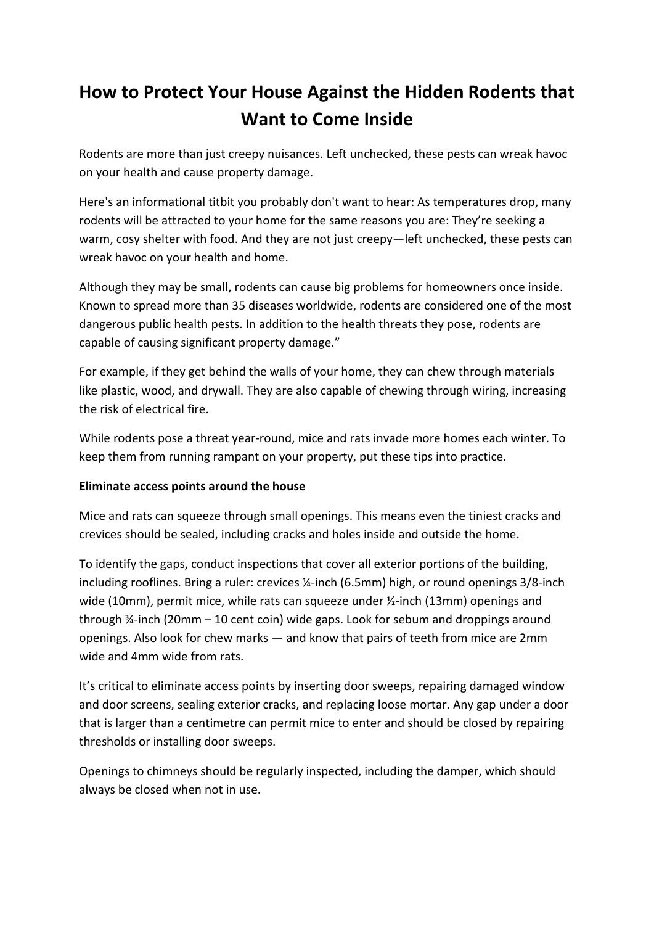# **How to Protect Your House Against the Hidden Rodents that Want to Come Inside**

Rodents are more than just creepy nuisances. Left unchecked, these pests can wreak havoc on your health and cause property damage.

Here's an informational titbit you probably don't want to hear: As temperatures drop, many rodents will be attracted to your home for the same reasons you are: They're seeking a warm, cosy shelter with food. And they are not just creepy—left unchecked, these pests can wreak havoc on your health and home.

Although they may be small, rodents can cause big problems for homeowners once inside. Known to spread more than 35 diseases worldwide, rodents are considered one of the most dangerous public health pests. In addition to the health threats they pose, rodents are capable of causing significant property damage."

For example, if they get behind the walls of your home, they can chew through materials like plastic, wood, and drywall. They are also capable of chewing through wiring, increasing the risk of electrical fire.

While rodents pose a threat year-round, mice and rats invade more homes each winter. To keep them from running rampant on your property, put these tips into practice.

## **Eliminate access points around the house**

Mice and rats can squeeze through small openings. This means even the tiniest cracks and crevices should be sealed, including cracks and holes inside and outside the home.

To identify the gaps, conduct inspections that cover all exterior portions of the building, including rooflines. Bring a ruler: crevices ¼-inch (6.5mm) high, or round openings 3/8-inch wide (10mm), permit mice, while rats can squeeze under ½-inch (13mm) openings and through ¾-inch (20mm – 10 cent coin) wide gaps. Look for sebum and droppings around openings. Also look for chew marks — and know that pairs of teeth from mice are 2mm wide and 4mm wide from rats.

It's critical to eliminate access points by inserting door sweeps, repairing damaged window and door screens, sealing exterior cracks, and replacing loose mortar. Any gap under a door that is larger than a centimetre can permit mice to enter and should be closed by repairing thresholds or installing door sweeps.

Openings to chimneys should be regularly inspected, including the damper, which should always be closed when not in use.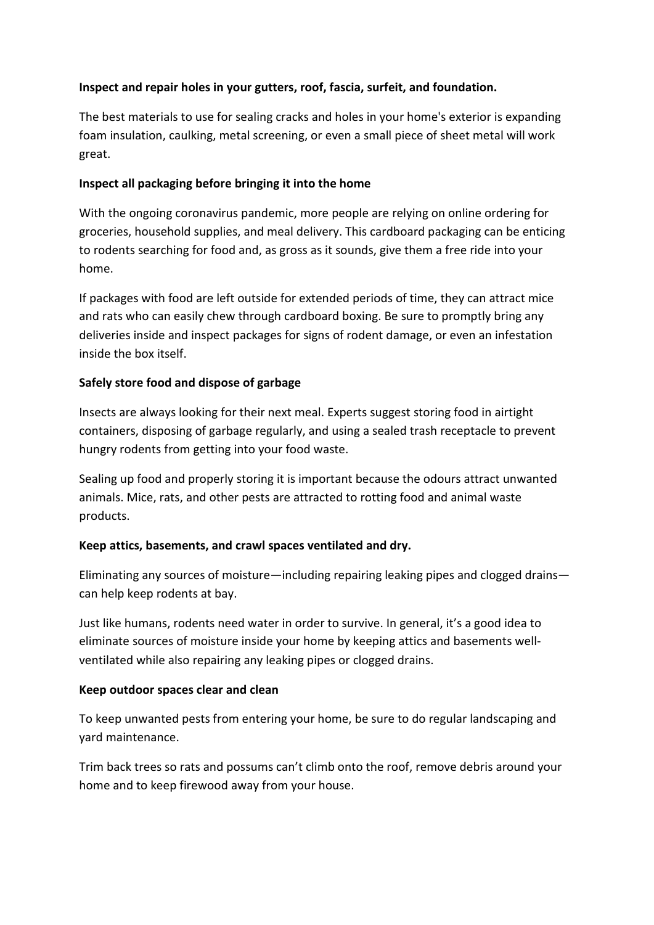## **Inspect and repair holes in your gutters, roof, fascia, surfeit, and foundation.**

The best materials to use for sealing cracks and holes in your home's exterior is expanding foam insulation, caulking, metal screening, or even a small piece of sheet metal will work great.

## **Inspect all packaging before bringing it into the home**

With the ongoing coronavirus pandemic, more people are relying on online ordering for groceries, household supplies, and meal delivery. This cardboard packaging can be enticing to rodents searching for food and, as gross as it sounds, give them a free ride into your home.

If packages with food are left outside for extended periods of time, they can attract mice and rats who can easily chew through cardboard boxing. Be sure to promptly bring any deliveries inside and inspect packages for signs of rodent damage, or even an infestation inside the box itself.

## **Safely store food and dispose of garbage**

Insects are always looking for their next meal. Experts suggest storing food in airtight containers, disposing of garbage regularly, and using a sealed trash receptacle to prevent hungry rodents from getting into your food waste.

Sealing up food and properly storing it is important because the odours attract unwanted animals. Mice, rats, and other pests are attracted to rotting food and animal waste products.

## **Keep attics, basements, and crawl spaces ventilated and dry.**

Eliminating any sources of moisture—including repairing leaking pipes and clogged drains can help keep rodents at bay.

Just like humans, rodents need water in order to survive. In general, it's a good idea to eliminate sources of moisture inside your home by keeping attics and basements wellventilated while also repairing any leaking pipes or clogged drains.

## **Keep outdoor spaces clear and clean**

To keep unwanted pests from entering your home, be sure to do regular landscaping and yard maintenance.

Trim back trees so rats and possums can't climb onto the roof, remove debris around your home and to keep firewood away from your house.